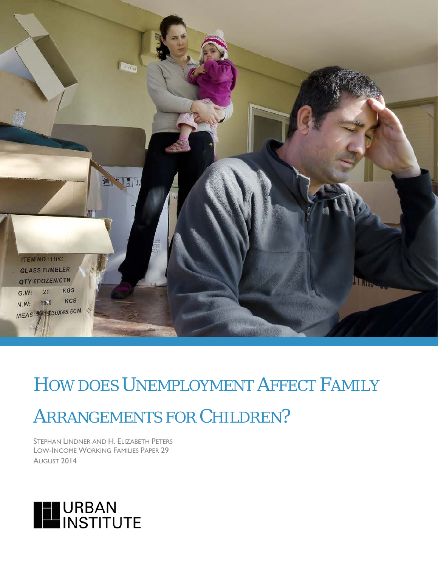

*HOW DOES UNEMPLOYMENT AFFECT FAMILY* 

# *ARRANGEMENTS FOR CHILDREN?*

STEPHAN LINDNER AND H. ELIZABETH PETERS LOW-INCOME WORKING FAMILIES PAPER 29 AUGUST 2014

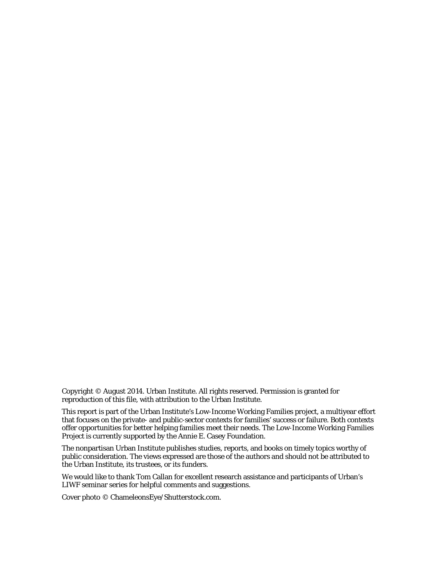Copyright © August 2014. Urban Institute. All rights reserved. Permission is granted for reproduction of this file, with attribution to the Urban Institute.

This report is part of the Urban Institute's Low-Income Working Families project, a multiyear effort that focuses on the private- and public-sector contexts for families' success or failure. Both contexts offer opportunities for better helping families meet their needs. The Low-Income Working Families Project is currently supported by the Annie E. Casey Foundation.

The nonpartisan Urban Institute publishes studies, reports, and books on timely topics worthy of public consideration. The views expressed are those of the authors and should not be attributed to the Urban Institute, its trustees, or its funders.

We would like to thank Tom Callan for excellent research assistance and participants of Urban's LIWF seminar series for helpful comments and suggestions.

Cover photo © ChameleonsEye/Shutterstock.com.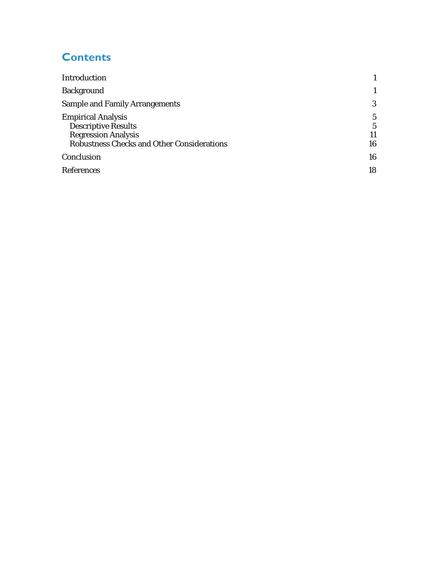# **Contents**

| Introduction                                                                                                                               |              |
|--------------------------------------------------------------------------------------------------------------------------------------------|--------------|
| <b>Background</b>                                                                                                                          |              |
| <b>Sample and Family Arrangements</b>                                                                                                      | 3            |
| <b>Empirical Analysis</b><br><b>Descriptive Results</b><br><b>Regression Analysis</b><br><b>Robustness Checks and Other Considerations</b> | 5<br>5<br>16 |
| Conclusion                                                                                                                                 | 16           |
| <b>References</b>                                                                                                                          | 18           |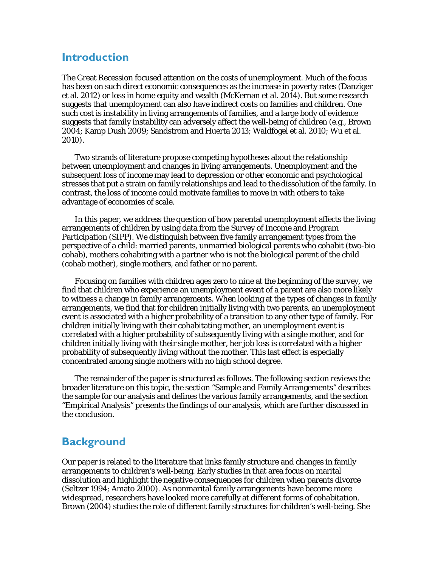## <span id="page-3-0"></span>**Introduction**

The Great Recession focused attention on the costs of unemployment. Much of the focus has been on such direct economic consequences as the increase in poverty rates (Danziger et al. 2012) or loss in home equity and wealth (McKernan et al. 2014). But some research suggests that unemployment can also have indirect costs on families and children. One such cost is instability in living arrangements of families, and a large body of evidence suggests that family instability can adversely affect the well-being of children (e.g., Brown 2004; Kamp Dush 2009; Sandstrom and Huerta 2013; Waldfogel et al. 2010; Wu et al. 2010).

Two strands of literature propose competing hypotheses about the relationship between unemployment and changes in living arrangements. Unemployment and the subsequent loss of income may lead to depression or other economic and psychological stresses that put a strain on family relationships and lead to the dissolution of the family. In contrast, the loss of income could motivate families to move in with others to take advantage of economies of scale.

In this paper, we address the question of how parental unemployment affects the living arrangements of children by using data from the Survey of Income and Program Participation (SIPP). We distinguish between five family arrangement types from the perspective of a child: married parents, unmarried biological parents who cohabit (two-bio cohab), mothers cohabiting with a partner who is not the biological parent of the child (cohab mother), single mothers, and father or no parent.

Focusing on families with children ages zero to nine at the beginning of the survey, we find that children who experience an unemployment event of a parent are also more likely to witness a change in family arrangements. When looking at the types of changes in family arrangements, we find that for children initially living with two parents, an unemployment event is associated with a higher probability of a transition to any other type of family. For children initially living with their cohabitating mother, an unemployment event is correlated with a higher probability of subsequently living with a single mother, and for children initially living with their single mother, her job loss is correlated with a higher probability of subsequently living without the mother. This last effect is especially concentrated among single mothers with no high school degree.

The remainder of the paper is structured as follows. The following section reviews the broader literature on this topic, the section "Sample and Family Arrangements" describes the sample for our analysis and defines the various family arrangements, and the section "Empirical Analysis" presents the findings of our analysis, which are further discussed in the conclusion.

# <span id="page-3-1"></span>**Background**

Our paper is related to the literature that links family structure and changes in family arrangements to children's well-being. Early studies in that area focus on marital dissolution and highlight the negative consequences for children when parents divorce (Seltzer 1994; Amato 2000). As nonmarital family arrangements have become more widespread, researchers have looked more carefully at different forms of cohabitation. Brown (2004) studies the role of different family structures for children's well-being. She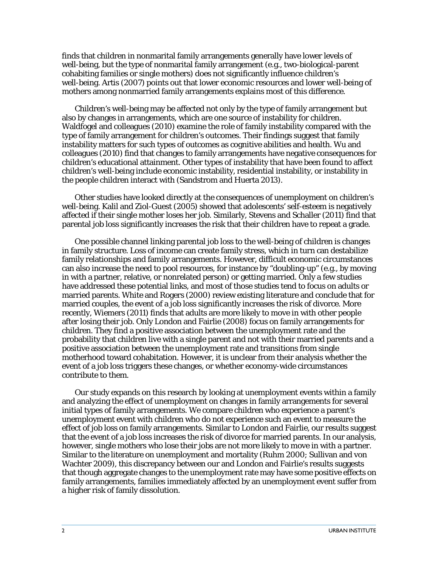finds that children in nonmarital family arrangements generally have lower levels of well-being, but the type of nonmarital family arrangement (e.g., two-biological-parent cohabiting families or single mothers) does not significantly influence children's well-being. Artis (2007) points out that lower economic resources and lower well-being of mothers among nonmarried family arrangements explains most of this difference.

Children's well-being may be affected not only by the type of family arrangement but also by changes in arrangements, which are one source of instability for children. Waldfogel and colleagues (2010) examine the role of family instability compared with the type of family arrangement for children's outcomes. Their findings suggest that family instability matters for such types of outcomes as cognitive abilities and health. Wu and colleagues (2010) find that changes to family arrangements have negative consequences for children's educational attainment. Other types of instability that have been found to affect children's well-being include economic instability, residential instability, or instability in the people children interact with (Sandstrom and Huerta 2013).

Other studies have looked directly at the consequences of unemployment on children's well-being. Kalil and Ziol-Guest (2005) showed that adolescents' self-esteem is negatively affected if their single mother loses her job. Similarly, Stevens and Schaller (2011) find that parental job loss significantly increases the risk that their children have to repeat a grade.

One possible channel linking parental job loss to the well-being of children is changes in family structure. Loss of income can create family stress, which in turn can destabilize family relationships and family arrangements. However, difficult economic circumstances can also increase the need to pool resources, for instance by "doubling-up" (e.g., by moving in with a partner, relative, or nonrelated person) or getting married. Only a few studies have addressed these potential links, and most of those studies tend to focus on adults or married parents. White and Rogers (2000) review existing literature and conclude that for married couples, the event of a job loss significantly increases the risk of divorce. More recently, Wiemers (2011) finds that adults are more likely to move in with other people after losing their job. Only London and Fairlie (2008) focus on family arrangements for children. They find a positive association between the unemployment rate and the probability that children live with a single parent and not with their married parents and a positive association between the unemployment rate and transitions from single motherhood toward cohabitation. However, it is unclear from their analysis whether the event of a job loss triggers these changes, or whether economy-wide circumstances contribute to them.

Our study expands on this research by looking at unemployment events within a family and analyzing the effect of unemployment on changes in family arrangements for several initial types of family arrangements. We compare children who experience a parent's unemployment event with children who do not experience such an event to measure the effect of job loss on family arrangements. Similar to London and Fairlie, our results suggest that the event of a job loss increases the risk of divorce for married parents. In our analysis, however, single mothers who lose their jobs are not more likely to move in with a partner. Similar to the literature on unemployment and mortality (Ruhm 2000; Sullivan and von Wachter 2009), this discrepancy between our and London and Fairlie's results suggests that though aggregate changes to the unemployment rate may have some positive effects on family arrangements, families immediately affected by an unemployment event suffer from a higher risk of family dissolution.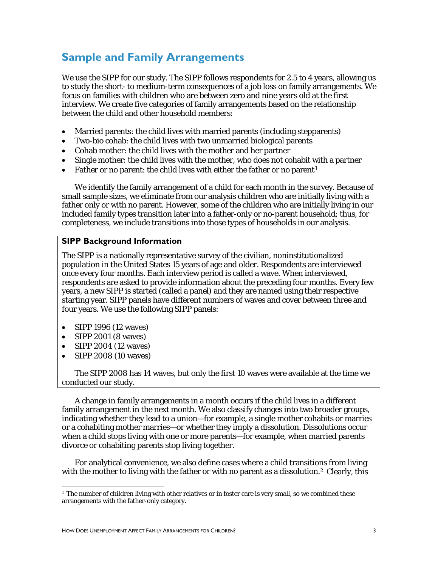# <span id="page-5-0"></span>**Sample and Family Arrangements**

We use the SIPP for our study. The SIPP follows respondents for 2.5 to 4 years, allowing us to study the short- to medium-term consequences of a job loss on family arrangements. We focus on families with children who are between zero and nine years old at the first interview. We create five categories of family arrangements based on the relationship between the child and other household members:

- Married parents: the child lives with married parents (including stepparents)
- Two-bio cohab: the child lives with two unmarried biological parents
- Cohab mother: the child lives with the mother and her partner
- Single mother: the child lives with the mother, who does not cohabit with a partner
- Father or no parent: the child lives with either the father or no parent<sup>[1](#page-5-1)</sup>

We identify the family arrangement of a child for each month in the survey. Because of small sample sizes, we eliminate from our analysis children who are initially living with a father only or with no parent. However, some of the children who are initially living in our included family types transition later into a father-only or no-parent household; thus, for completeness, we include transitions into those types of households in our analysis.

#### **SIPP Background Information**

The SIPP is a nationally representative survey of the civilian, noninstitutionalized population in the United States 15 years of age and older. Respondents are interviewed once every four months. Each interview period is called a wave. When interviewed, respondents are asked to provide information about the preceding four months. Every few years, a new SIPP is started (called a panel) and they are named using their respective starting year. SIPP panels have different numbers of waves and cover between three and four years. We use the following SIPP panels:

- SIPP 1996 (12 waves)
- SIPP 2001 (8 waves)
- SIPP 2004 (12 waves)
- SIPP 2008 (10 waves)

The SIPP 2008 has 14 waves, but only the first 10 waves were available at the time we conducted our study.

A change in family arrangements in a month occurs if the child lives in a different family arrangement in the next month. We also classify changes into two broader groups, indicating whether they lead to a union—for example, a single mother cohabits or marries or a cohabiting mother marries—or whether they imply a dissolution. Dissolutions occur when a child stops living with one or more parents—for example, when married parents divorce or cohabiting parents stop living together.

<span id="page-5-2"></span>For analytical convenience, we also define cases where a child transitions from living with the mother to living with the father or with no parent as a dissolution.<sup>[2](#page-5-2)</sup> Clearly, this

<span id="page-5-1"></span><sup>&</sup>lt;sup>1</sup> The number of children living with other relatives or in foster care is very small, so we combined these arrangements with the father-only category. <u>.</u>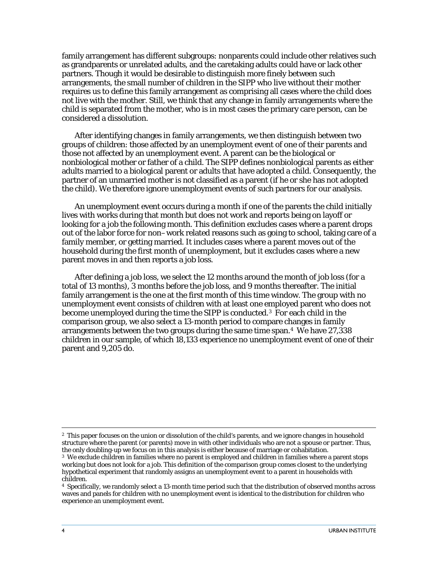family arrangement has different subgroups: nonparents could include other relatives such as grandparents or unrelated adults, and the caretaking adults could have or lack other partners. Though it would be desirable to distinguish more finely between such arrangements, the small number of children in the SIPP who live without their mother requires us to define this family arrangement as comprising all cases where the child does not live with the mother. Still, we think that any change in family arrangements where the child is separated from the mother, who is in most cases the primary care person, can be considered a dissolution.

After identifying changes in family arrangements, we then distinguish between two groups of children: those affected by an unemployment event of one of their parents and those not affected by an unemployment event. A parent can be the biological or nonbiological mother or father of a child. The SIPP defines nonbiological parents as either adults married to a biological parent or adults that have adopted a child. Consequently, the partner of an unmarried mother is not classified as a parent (if he or she has not adopted the child). We therefore ignore unemployment events of such partners for our analysis.

An unemployment event occurs during a month if one of the parents the child initially lives with works during that month but does not work and reports being on layoff or looking for a job the following month. This definition excludes cases where a parent drops out of the labor force for non–work related reasons such as going to school, taking care of a family member, or getting married. It includes cases where a parent moves out of the household during the first month of unemployment, but it excludes cases where a new parent moves in and then reports a job loss.

After defining a job loss, we select the 12 months around the month of job loss (for a total of 13 months), 3 months before the job loss, and 9 months thereafter. The initial family arrangement is the one at the first month of this time window. The group with no unemployment event consists of children with at least one employed parent who does not become unemployed during the time the SIPP is conducted.[3](#page-6-0) For each child in the comparison group, we also select a 13-month period to compare changes in family arrangements between the two groups during the same time span.[4](#page-6-1) We have 27,338 children in our sample, of which 18,133 experience no unemployment event of one of their parent and 9,205 do.

<sup>&</sup>lt;sup>2</sup> This paper focuses on the union or dissolution of the child's parents, and we ignore changes in household structure where the parent (or parents) move in with other individuals who are not a spouse or partner. Thus, the only doubling-up we focus on in this analysis is either because of marriage or cohabitation. -

<span id="page-6-0"></span><sup>3</sup> We exclude children in families where no parent is employed and children in families where a parent stops working but does not look for a job. This definition of the comparison group comes closest to the underlying hypothetical experiment that randomly assigns an unemployment event to a parent in households with children.

<span id="page-6-1"></span><sup>4</sup> Specifically, we randomly select a 13-month time period such that the distribution of observed months across waves and panels for children with no unemployment event is identical to the distribution for children who experience an unemployment event.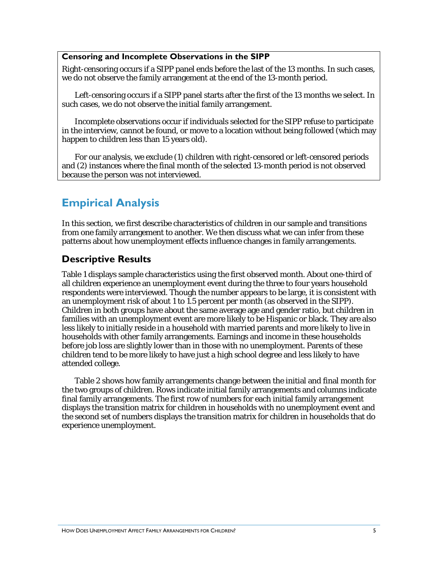#### **Censoring and Incomplete Observations in the SIPP**

Right-censoring occurs if a SIPP panel ends before the last of the 13 months. In such cases, we do not observe the family arrangement at the end of the 13-month period.

Left-censoring occurs if a SIPP panel starts after the first of the 13 months we select. In such cases, we do not observe the initial family arrangement.

Incomplete observations occur if individuals selected for the SIPP refuse to participate in the interview, cannot be found, or move to a location without being followed (which may happen to children less than 15 years old).

For our analysis, we exclude (1) children with right-censored or left-censored periods and (2) instances where the final month of the selected 13-month period is not observed because the person was not interviewed.

# <span id="page-7-0"></span>**Empirical Analysis**

In this section, we first describe characteristics of children in our sample and transitions from one family arrangement to another. We then discuss what we can infer from these patterns about how unemployment effects influence changes in family arrangements.

### <span id="page-7-1"></span>**Descriptive Results**

Table 1 displays sample characteristics using the first observed month. About one-third of all children experience an unemployment event during the three to four years household respondents were interviewed. Though the number appears to be large, it is consistent with an unemployment risk of about 1 to 1.5 percent per month (as observed in the SIPP). Children in both groups have about the same average age and gender ratio, but children in families with an unemployment event are more likely to be Hispanic or black. They are also less likely to initially reside in a household with married parents and more likely to live in households with other family arrangements. Earnings and income in these households before job loss are slightly lower than in those with no unemployment. Parents of these children tend to be more likely to have just a high school degree and less likely to have attended college.

Table 2 shows how family arrangements change between the initial and final month for the two groups of children. Rows indicate initial family arrangements and columns indicate final family arrangements. The first row of numbers for each initial family arrangement displays the transition matrix for children in households with no unemployment event and the second set of numbers displays the transition matrix for children in households that do experience unemployment.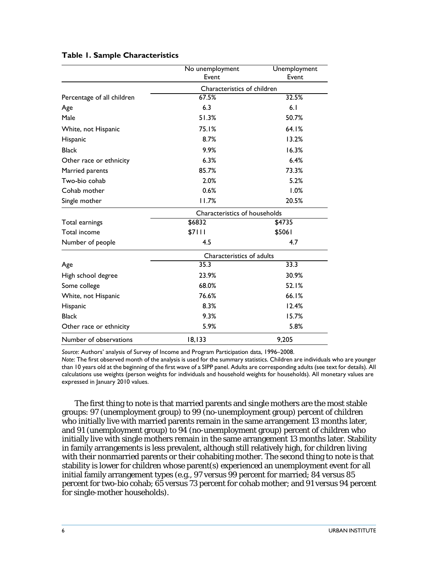|                            | No unemployment<br>Event      | Unemployment<br>Event |  |  |  |
|----------------------------|-------------------------------|-----------------------|--|--|--|
|                            | Characteristics of children   |                       |  |  |  |
| Percentage of all children | 67.5%                         | 32.5%                 |  |  |  |
| Age                        | 6.3                           | 6.1                   |  |  |  |
| Male                       | 51.3%                         | 50.7%                 |  |  |  |
| White, not Hispanic        | 75.1%                         | 64.I%                 |  |  |  |
| Hispanic                   | 8.7%                          | 13.2%                 |  |  |  |
| <b>Black</b>               | 9.9%                          | 16.3%                 |  |  |  |
| Other race or ethnicity    | 6.3%                          | 6.4%                  |  |  |  |
| Married parents            | 85.7%                         | 73.3%                 |  |  |  |
| Two-bio cohab              | 2.0%                          | 5.2%                  |  |  |  |
| Cohab mother               | 0.6%                          | 1.0%                  |  |  |  |
| Single mother              | 11.7%                         | 20.5%                 |  |  |  |
|                            | Characteristics of households |                       |  |  |  |
| Total earnings             | \$6832                        | \$4735                |  |  |  |
| Total income               | \$7111                        | \$5061                |  |  |  |
| Number of people           | 4.5                           | 4.7                   |  |  |  |
|                            | Characteristics of adults     |                       |  |  |  |
| Age                        | 35.3                          | 33.3                  |  |  |  |
| High school degree         | 23.9%                         | 30.9%                 |  |  |  |
| Some college               | 68.0%                         | 52.1%                 |  |  |  |
| White, not Hispanic        | 76.6%                         | 66.1%                 |  |  |  |
| Hispanic                   | 8.3%                          | 12.4%                 |  |  |  |
| <b>Black</b>               | 9.3%                          | 15.7%                 |  |  |  |
| Other race or ethnicity    | 5.9%                          | 5.8%                  |  |  |  |
| Number of observations     | 18, 133                       | 9,205                 |  |  |  |

#### **Table 1. Sample Characteristics**

*Source*: Authors' analysis of Survey of Income and Program Participation data, 1996–2008. *Note*: The first observed month of the analysis is used for the summary statistics. Children are individuals who are younger than 10 years old at the beginning of the first wave of a SIPP panel. Adults are corresponding adults (see text for details). All calculations use weights (person weights for individuals and household weights for households). All monetary values are expressed in January 2010 values.

The first thing to note is that married parents and single mothers are the most stable groups: 97 (unemployment group) to 99 (no-unemployment group) percent of children who initially live with married parents remain in the same arrangement 13 months later, and 91 (unemployment group) to 94 (no-unemployment group) percent of children who initially live with single mothers remain in the same arrangement 13 months later. Stability in family arrangements is less prevalent, although still relatively high, for children living with their nonmarried parents or their cohabiting mother. The second thing to note is that stability is lower for children whose parent(s) experienced an unemployment event for all initial family arrangement types (e.g., 97 versus 99 percent for married; 84 versus 85 percent for two-bio cohab; 65 versus 73 percent for cohab mother; and 91 versus 94 percent for single-mother households).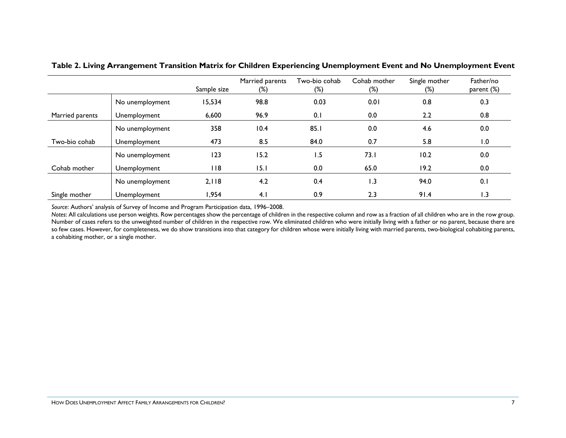|                 |                 | Sample size | Married parents<br>$(\%)$ | Two-bio cohab<br>$(\%)$ | Cohab mother<br>$(\%)$ | Single mother<br>$(\%)$ | Father/no<br>parent (%) |
|-----------------|-----------------|-------------|---------------------------|-------------------------|------------------------|-------------------------|-------------------------|
|                 | No unemployment | 15,534      | 98.8                      | 0.03                    | 0.01                   | 0.8                     | 0.3                     |
| Married parents | Unemployment    | 6,600       | 96.9                      | 0.1                     | 0.0                    | 2.2                     | 0.8                     |
|                 | No unemployment | 358         | 10.4                      | 85.1                    | 0.0                    | 4.6                     | 0.0                     |
| Two-bio cohab   | Unemployment    | 473         | 8.5                       | 84.0                    | 0.7                    | 5.8                     | 1.0                     |
|                 | No unemployment | 123         | 15.2                      | 1.5                     | 73.1                   | 10.2                    | 0.0                     |
| Cohab mother    | Unemployment    | 118         | 15. I                     | 0.0                     | 65.0                   | 19.2                    | 0.0                     |
|                 | No unemployment | 2,118       | 4.2                       | 0.4                     | 1.3                    | 94.0                    | 0.1                     |
| Single mother   | Unemployment    | ,954        | 4.1                       | 0.9                     | 2.3                    | 91.4                    | 1.3                     |

**Table 2. Living Arrangement Transition Matrix for Children Experiencing Unemployment Event and No Unemployment Event**

*Source*: Authors' analysis of Survey of Income and Program Participation data, 1996–2008.

*Notes*: All calculations use person weights. Row percentages show the percentage of children in the respective column and row as a fraction of all children who are in the row group. Number of cases refers to the unweighted number of children in the respective row. We eliminated children who were initially living with a father or no parent, because there are so few cases. However, for completeness, we do show transitions into that category for children whose were initially living with married parents, two-biological cohabiting parents, a cohabiting mother, or a single mother.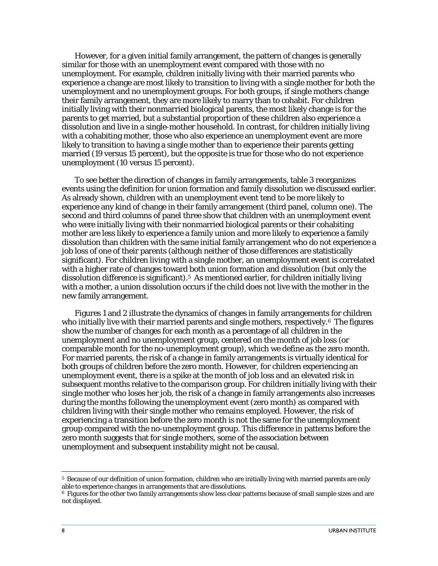However, for a given initial family arrangement, the pattern of changes is generally similar for those with an unemployment event compared with those with no unemployment. For example, children initially living with their married parents who experience a change are most likely to transition to living with a single mother for both the unemployment and no unemployment groups. For both groups, if single mothers change their family arrangement, they are more likely to marry than to cohabit. For children initially living with their nonmarried biological parents, the most likely change is for the parents to get married, but a substantial proportion of these children also experience a dissolution and live in a single-mother household. In contrast, for children initially living with a cohabiting mother, those who also experience an unemployment event are more likely to transition to having a single mother than to experience their parents getting married (19 versus 15 percent), but the opposite is true for those who do not experience unemployment (10 versus 15 percent).

To see better the direction of changes in family arrangements, table 3 reorganizes events using the definition for union formation and family dissolution we discussed earlier. As already shown, children with an unemployment event tend to be more likely to experience any kind of change in their family arrangement (third panel, column one). The second and third columns of panel three show that children with an unemployment event who were initially living with their nonmarried biological parents or their cohabiting mother are less likely to experience a family union and more likely to experience a family dissolution than children with the same initial family arrangement who do not experience a job loss of one of their parents (although neither of those differences are statistically significant). For children living with a single mother, an unemployment event is correlated with a higher rate of changes toward both union formation and dissolution (but only the dissolution difference is significant).[5](#page-10-0) As mentioned earlier, for children initially living with a mother, a union dissolution occurs if the child does not live with the mother in the new family arrangement.

Figures 1 and 2 illustrate the dynamics of changes in family arrangements for children who initially live with their married parents and single mothers, respectively.<sup>[6](#page-10-1)</sup> The figures show the number of changes for each month as a percentage of all children in the unemployment and no unemployment group, centered on the month of job loss (or comparable month for the no-unemployment group), which we define as the zero month. For married parents, the risk of a change in family arrangements is virtually identical for both groups of children before the zero month. However, for children experiencing an unemployment event, there is a spike at the month of job loss and an elevated risk in subsequent months relative to the comparison group. For children initially living with their single mother who loses her job, the risk of a change in family arrangements also increases during the months following the unemployment event (zero month) as compared with children living with their single mother who remains employed. However, the risk of experiencing a transition before the zero month is not the same for the unemployment group compared with the no-unemployment group. This difference in patterns before the zero month suggests that for single mothers, some of the association between unemployment and subsequent instability might not be causal.

<u>.</u>

<span id="page-10-0"></span><sup>5</sup> Because of our definition of union formation, children who are initially living with married parents are only able to experience changes in arrangements that are dissolutions.

<span id="page-10-1"></span><sup>6</sup> Figures for the other two family arrangements show less clear patterns because of small sample sizes and are not displayed.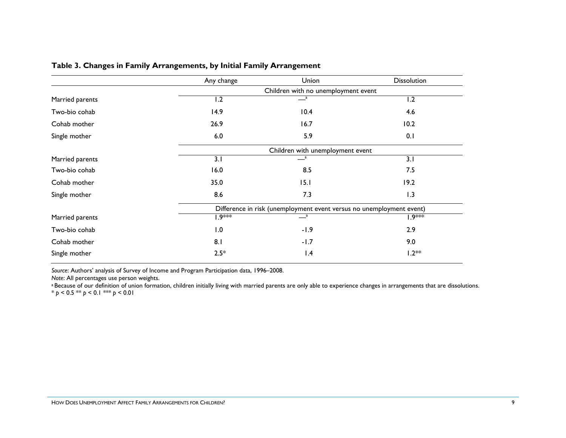|                 | Any change                          | Union                                                                | <b>Dissolution</b> |  |  |  |
|-----------------|-------------------------------------|----------------------------------------------------------------------|--------------------|--|--|--|
|                 | Children with no unemployment event |                                                                      |                    |  |  |  |
| Married parents | 1.2                                 | $\overline{\phantom{a}}^a$                                           | 1.2                |  |  |  |
| Two-bio cohab   | 14.9                                | 10.4                                                                 | 4.6                |  |  |  |
| Cohab mother    | 26.9                                | 16.7                                                                 | 10.2               |  |  |  |
| Single mother   | 6.0                                 | 5.9                                                                  | 0.1                |  |  |  |
|                 |                                     | Children with unemployment event                                     |                    |  |  |  |
| Married parents | $\overline{3.1}$                    | $\frac{a}{2}$                                                        | $\overline{3.1}$   |  |  |  |
| Two-bio cohab   | 16.0                                | 8.5                                                                  | 7.5                |  |  |  |
| Cohab mother    | 35.0                                | 15.1                                                                 | 19.2               |  |  |  |
| Single mother   | 8.6                                 | 7.3                                                                  | 1.3                |  |  |  |
|                 |                                     | Difference in risk (unemployment event versus no unemployment event) |                    |  |  |  |
| Married parents | 1.9***                              | $-{}^a$                                                              | l.9***             |  |  |  |
| Two-bio cohab   | 1.0                                 | $-1.9$                                                               | 2.9                |  |  |  |
| Cohab mother    | 8.1                                 | $-1.7$                                                               | 9.0                |  |  |  |
| Single mother   | $2.5*$                              | 1.4                                                                  | $1.2**$            |  |  |  |

#### **Table 3. Changes in Family Arrangements, by Initial Family Arrangement**

*Source*: Authors' analysis of Survey of Income and Program Participation data, 1996–2008.

<sup>a</sup> Because of our definition of union formation, children initially living with married parents are only able to experience changes in arrangements that are dissolutions. \* *p* < 0.5 \*\* *p* < 0.1 \*\*\* *p* < 0.01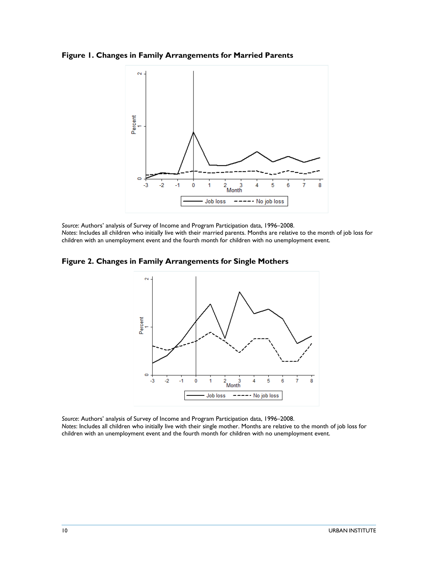**Figure 1. Changes in Family Arrangements for Married Parents**



*Source*: Authors' analysis of Survey of Income and Program Participation data, 1996–2008. *Notes*: Includes all children who initially live with their married parents. Months are relative to the month of job loss for children with an unemployment event and the fourth month for children with no unemployment event.

**Figure 2. Changes in Family Arrangements for Single Mothers**



*Source*: Authors' analysis of Survey of Income and Program Participation data, 1996–2008. *Notes*: Includes all children who initially live with their single mother. Months are relative to the month of job loss for children with an unemployment event and the fourth month for children with no unemployment event.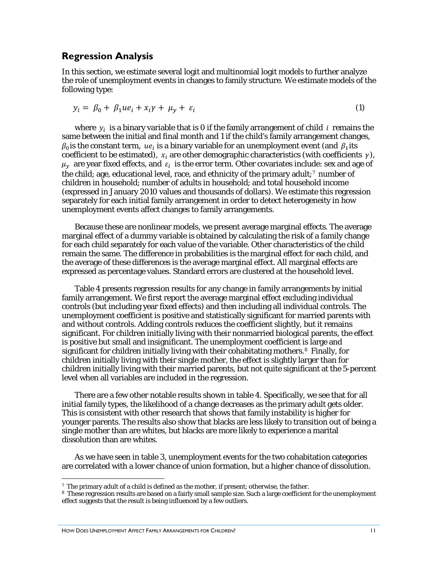#### <span id="page-13-0"></span>**Regression Analysis**

In this section, we estimate several logit and multinomial logit models to further analyze the role of unemployment events in changes to family structure. We estimate models of the following type:

$$
y_i = \beta_0 + \beta_1 u e_i + x_i \gamma + \mu_y + \varepsilon_i \tag{1}
$$

where  $y_i$  is a binary variable that is 0 if the family arrangement of child i remains the same between the initial and final month and 1 if the child's family arrangement changes,  $\beta_0$  is the constant term,  $ue_i$  is a binary variable for an unemployment event (and  $\beta_1$  its coefficient to be estimated),  $x_i$  are other demographic characteristics (with coefficients  $\gamma$ ),  $\mu_{\nu}$  are year fixed effects, and  $\varepsilon_{i}$  is the error term. Other covariates include: sex and age of the child; age, educational level, race, and ethnicity of the primary adult; $<sup>7</sup>$  $<sup>7</sup>$  $<sup>7</sup>$  number of</sup> children in household; number of adults in household; and total household income (expressed in January 2010 values and thousands of dollars). We estimate this regression separately for each initial family arrangement in order to detect heterogeneity in how unemployment events affect changes to family arrangements.

Because these are nonlinear models, we present average marginal effects. The average marginal effect of a dummy variable is obtained by calculating the risk of a family change for each child separately for each value of the variable. Other characteristics of the child remain the same. The difference in probabilities is the marginal effect for each child, and the average of these differences is the average marginal effect. All marginal effects are expressed as percentage values. Standard errors are clustered at the household level.

Table 4 presents regression results for any change in family arrangements by initial family arrangement. We first report the average marginal effect excluding individual controls (but including year fixed effects) and then including all individual controls. The unemployment coefficient is positive and statistically significant for married parents with and without controls. Adding controls reduces the coefficient slightly, but it remains significant. For children initially living with their nonmarried biological parents, the effect is positive but small and insignificant. The unemployment coefficient is large and significant for children initially living with their cohabitating mothers.[8](#page-13-2) Finally, for children initially living with their single mother, the effect is slightly larger than for children initially living with their married parents, but not quite significant at the 5-percent level when all variables are included in the regression.

There are a few other notable results shown in table 4. Specifically, we see that for all initial family types, the likelihood of a change decreases as the primary adult gets older. This is consistent with other research that shows that family instability is higher for younger parents. The results also show that blacks are less likely to transition out of being a single mother than are whites, but blacks are more likely to experience a marital dissolution than are whites.

As we have seen in table 3, unemployment events for the two cohabitation categories are correlated with a lower chance of union formation, but a higher chance of dissolution.

-

<span id="page-13-1"></span><sup>7</sup> The primary adult of a child is defined as the mother, if present; otherwise, the father.

<span id="page-13-2"></span><sup>8</sup> These regression results are based on a fairly small sample size. Such a large coefficient for the unemployment effect suggests that the result is being influenced by a few outliers.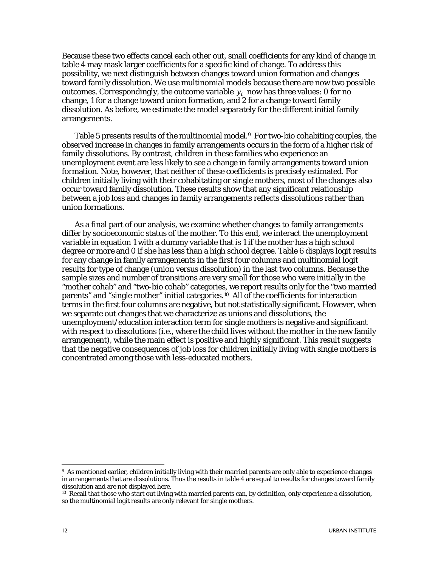Because these two effects cancel each other out, small coefficients for any kind of change in table 4 may mask larger coefficients for a specific kind of change. To address this possibility, we next distinguish between changes toward union formation and changes toward family dissolution. We use multinomial models because there are now two possible outcomes. Correspondingly, the outcome variable  $y_i$  now has three values: 0 for no change, 1 for a change toward union formation, and 2 for a change toward family dissolution. As before, we estimate the model separately for the different initial family arrangements.

Table 5 presents results of the multinomial model.<sup>[9](#page-14-0)</sup> For two-bio cohabiting couples, the observed increase in changes in family arrangements occurs in the form of a higher risk of family dissolutions. By contrast, children in these families who experience an unemployment event are less likely to see a change in family arrangements toward union formation. Note, however, that neither of these coefficients is precisely estimated. For children initially living with their cohabitating or single mothers, most of the changes also occur toward family dissolution. These results show that any significant relationship between a job loss and changes in family arrangements reflects dissolutions rather than union formations.

As a final part of our analysis, we examine whether changes to family arrangements differ by socioeconomic status of the mother. To this end, we interact the unemployment variable in equation 1 with a dummy variable that is 1 if the mother has a high school degree or more and 0 if she has less than a high school degree. Table 6 displays logit results for any change in family arrangements in the first four columns and multinomial logit results for type of change (union versus dissolution) in the last two columns. Because the sample sizes and number of transitions are very small for those who were initially in the "mother cohab" and "two-bio cohab" categories, we report results only for the "two married parents" and "single mother" initial categories.[10](#page-14-1) All of the coefficients for interaction terms in the first four columns are negative, but not statistically significant. However, when we separate out changes that we characterize as unions and dissolutions, the unemployment/education interaction term for single mothers is negative and significant with respect to dissolutions (i.e., where the child lives without the mother in the new family arrangement), while the main effect is positive and highly significant. This result suggests that the negative consequences of job loss for children initially living with single mothers is concentrated among those with less-educated mothers.

<u>.</u>

<span id="page-14-0"></span><sup>9</sup> As mentioned earlier, children initially living with their married parents are only able to experience changes in arrangements that are dissolutions. Thus the results in table 4 are equal to results for changes toward family dissolution and are not displayed here.

<span id="page-14-1"></span><sup>&</sup>lt;sup>10</sup> Recall that those who start out living with married parents can, by definition, only experience a dissolution, so the multinomial logit results are only relevant for single mothers.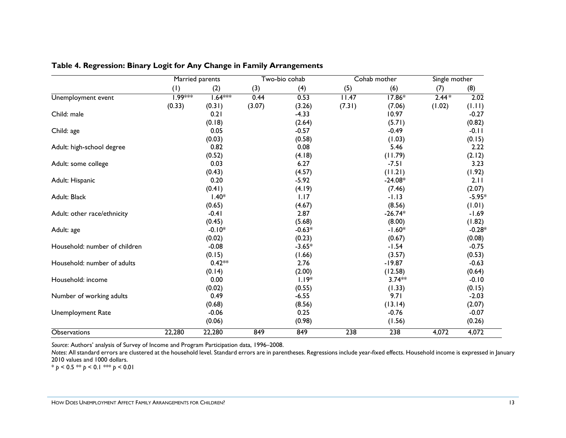|                               | Married parents |           |        | Two-bio cohab |        | Cohab mother     |         | Single mother |  |
|-------------------------------|-----------------|-----------|--------|---------------|--------|------------------|---------|---------------|--|
|                               | (1)             | (2)       | (3)    | (4)           | (5)    | (6)              | (7)     | (8)           |  |
| Unemployment event            | 1.99***         | $1.64***$ | 0.44   | 0.53          | 11.47  | $17.86*$         | $2.44*$ | 2.02          |  |
|                               | (0.33)          | (0.31)    | (3.07) | (3.26)        | (7.31) | (7.06)           | (1.02)  | (1.11)        |  |
| Child: male                   |                 | 0.21      |        | $-4.33$       |        | 10.97            |         | $-0.27$       |  |
|                               |                 | (0.18)    |        | (2.64)        |        | (5.71)           |         | (0.82)        |  |
| Child: age                    |                 | 0.05      |        | $-0.57$       |        | $-0.49$          |         | $-0.11$       |  |
|                               |                 | (0.03)    |        | (0.58)        |        | (1.03)           |         | (0.15)        |  |
| Adult: high-school degree     |                 | 0.82      |        | 0.08          |        | 5.46             |         | 2.22          |  |
|                               |                 | (0.52)    |        | (4.18)        |        | (11.79)          |         | (2.12)        |  |
| Adult: some college           |                 | 0.03      |        | 6.27          |        | $-7.51$          |         | 3.23          |  |
|                               |                 | (0.43)    |        | (4.57)        |        | (11.21)          |         | (1.92)        |  |
| Adult: Hispanic               |                 | 0.20      |        | $-5.92$       |        | $-24.08*$        |         | 2.11          |  |
|                               |                 | (0.41)    |        | (4.19)        |        | (7.46)           |         | (2.07)        |  |
| Adult: Black                  |                 | $1.40*$   |        | 1.17          |        | $-1.13$          |         | $-5.95*$      |  |
|                               |                 | (0.65)    |        | (4.67)        |        | (8.56)           |         | (1.01)        |  |
| Adult: other race/ethnicity   |                 | $-0.41$   |        | 2.87          |        | $-26.74*$        |         | $-1.69$       |  |
|                               |                 | (0.45)    |        | (5.68)        |        | (8.00)           |         | (1.82)        |  |
| Adult: age                    |                 | $-0.10*$  |        | $-0.63*$      |        | $-1.60*$         |         | $-0.28*$      |  |
|                               |                 | (0.02)    |        | (0.23)        |        | (0.67)           |         | (0.08)        |  |
| Household: number of children |                 | $-0.08$   |        | $-3.65*$      |        | $-1.54$          |         | $-0.75$       |  |
|                               |                 | (0.15)    |        | (1.66)        |        | (3.57)           |         | (0.53)        |  |
| Household: number of adults   |                 | $0.42**$  |        | 2.76          |        | $-19.87$         |         | $-0.63$       |  |
|                               |                 | (0.14)    |        | (2.00)        |        | (12.58)          |         | (0.64)        |  |
| Household: income             |                 | 0.00      |        | $1.19*$       |        | $3.74**$         |         | $-0.10$       |  |
|                               |                 | (0.02)    |        | (0.55)        |        | (1.33)           |         | (0.15)        |  |
| Number of working adults      |                 | 0.49      |        | $-6.55$       |        | 9.71             |         | $-2.03$       |  |
|                               |                 | (0.68)    |        | (8.56)        |        | (13.14)          |         | (2.07)        |  |
| <b>Unemployment Rate</b>      |                 | $-0.06$   |        | 0.25          |        | $-0.76$          |         | $-0.07$       |  |
|                               |                 | (0.06)    |        | (0.98)        |        | (1.56)           |         | (0.26)        |  |
| <b>Observations</b>           | 22,280          | 22,280    | 849    | 849           | 238    | $\overline{238}$ | 4,072   | 4,072         |  |

#### **Table 4. Regression: Binary Logit for Any Change in Family Arrangements**

*Source*: Authors' analysis of Survey of Income and Program Participation data, 1996–2008.

*Notes*: All standard errors are clustered at the household level. Standard errors are in parentheses. Regressions include year-fixed effects. Household income is expressed in January 2010 values and 1000 dollars.

\* *p* < 0.5 \*\* *p* < 0.1 \*\*\* *p* < 0.01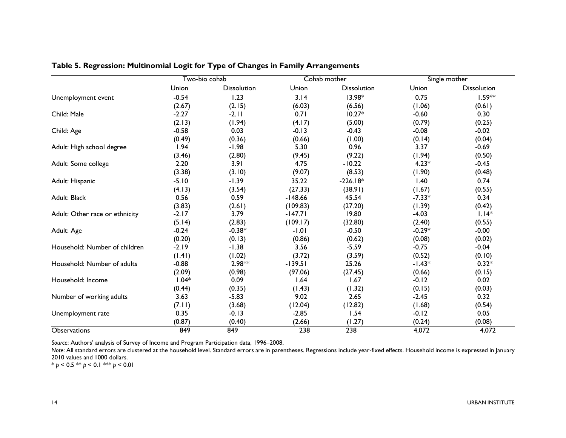|                                | Two-bio cohab |                    |                   | Cohab mother       | Single mother |                    |  |
|--------------------------------|---------------|--------------------|-------------------|--------------------|---------------|--------------------|--|
|                                | Union         | <b>Dissolution</b> | Union             | <b>Dissolution</b> | Union         | <b>Dissolution</b> |  |
| Unemployment event             | $-0.54$       | 1.23               | $\overline{3.14}$ | $13.98*$           | 0.75          | $1.59***$          |  |
|                                | (2.67)        | (2.15)             | (6.03)            | (6.56)             | (1.06)        | (0.61)             |  |
| Child: Male                    | $-2.27$       | $-2.11$            | 0.71              | $10.27*$           | $-0.60$       | 0.30               |  |
|                                | (2.13)        | (1.94)             | (4.17)            | (5.00)             | (0.79)        | (0.25)             |  |
| Child: Age                     | $-0.58$       | 0.03               | $-0.13$           | $-0.43$            | $-0.08$       | $-0.02$            |  |
|                                | (0.49)        | (0.36)             | (0.66)            | (1.00)             | (0.14)        | (0.04)             |  |
| Adult: High school degree      | 1.94          | $-1.98$            | 5.30              | 0.96               | 3.37          | $-0.69$            |  |
|                                | (3.46)        | (2.80)             | (9.45)            | (9.22)             | (1.94)        | (0.50)             |  |
| Adult: Some college            | 2.20          | 3.91               | 4.75              | $-10.22$           | $4.23*$       | $-0.45$            |  |
|                                | (3.38)        | (3.10)             | (9.07)            | (8.53)             | (1.90)        | (0.48)             |  |
| Adult: Hispanic                | $-5.10$       | $-1.39$            | 35.22             | $-226.18*$         | 1.40          | 0.74               |  |
|                                | (4.13)        | (3.54)             | (27.33)           | (38.91)            | (1.67)        | (0.55)             |  |
| Adult: Black                   | 0.56          | 0.59               | $-148.66$         | 45.54              | $-7.33*$      | 0.34               |  |
|                                | (3.83)        | (2.61)             | (109.83)          | (27.20)            | (1.39)        | (0.42)             |  |
| Adult: Other race or ethnicity | $-2.17$       | 3.79               | $-147.71$         | 19.80              | $-4.03$       | $1.14*$            |  |
|                                | (5.14)        | (2.83)             | (109.17)          | (32.80)            | (2.40)        | (0.55)             |  |
| Adult: Age                     | $-0.24$       | $-0.38*$           | $-1.01$           | $-0.50$            | $-0.29*$      | $-0.00$            |  |
|                                | (0.20)        | (0.13)             | (0.86)            | (0.62)             | (0.08)        | (0.02)             |  |
| Household: Number of children  | $-2.19$       | $-1.38$            | 3.56              | $-5.59$            | $-0.75$       | $-0.04$            |  |
|                                | (1.41)        | (1.02)             | (3.72)            | (3.59)             | (0.52)        | (0.10)             |  |
| Household: Number of adults    | $-0.88$       | $2.98**$           | $-139.51$         | 25.26              | $-1.43*$      | $0.32*$            |  |
|                                | (2.09)        | (0.98)             | (97.06)           | (27.45)            | (0.66)        | (0.15)             |  |
| Household: Income              | $1.04*$       | 0.09               | 1.64              | 1.67               | $-0.12$       | 0.02               |  |
|                                | (0.44)        | (0.35)             | (1.43)            | (1.32)             | (0.15)        | (0.03)             |  |
| Number of working adults       | 3.63          | $-5.83$            | 9.02              | 2.65               | $-2.45$       | 0.32               |  |
|                                | (7.11)        | (3.68)             | (12.04)           | (12.82)            | (1.68)        | (0.54)             |  |
| Unemployment rate              | 0.35          | $-0.13$            | $-2.85$           | 1.54               | $-0.12$       | 0.05               |  |
|                                | (0.87)        | (0.40)             | (2.66)            | (1.27)             | (0.24)        | (0.08)             |  |
| <b>Observations</b>            | 849           | 849                | 238               | 238                | 4,072         | 4,072              |  |

#### **Table 5. Regression: Multinomial Logit for Type of Changes in Family Arrangements**

*Source*: Authors' analysis of Survey of Income and Program Participation data, 1996–2008.

Note: All standard errors are clustered at the household level. Standard errors are in parentheses. Regressions include year-fixed effects. Household income is expressed in January 2010 values and 1000 dollars.

\* *p* < 0.5 \*\* *p* < 0.1 \*\*\* *p* < 0.01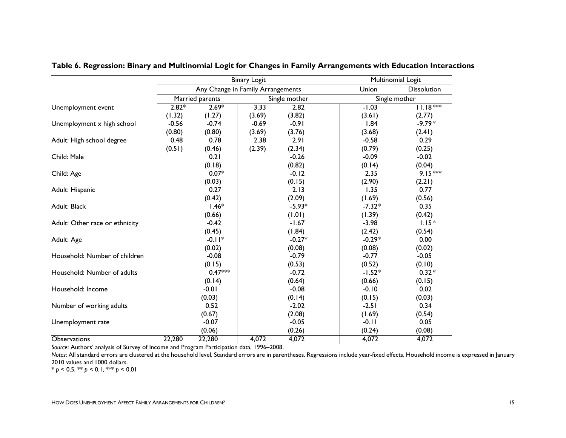|                                |         |                                   | <b>Binary Logit</b> |               |          | Multinomial Logit  |
|--------------------------------|---------|-----------------------------------|---------------------|---------------|----------|--------------------|
|                                |         | Any Change in Family Arrangements |                     |               | Union    | <b>Dissolution</b> |
|                                |         | Married parents                   |                     | Single mother |          | Single mother      |
| Unemployment event             | $2.82*$ | $2.69*$                           | 3.33                | 2.82          | $-1.03$  | $11.18***$         |
|                                | (1.32)  | (1.27)                            | (3.69)              | (3.82)        | (3.61)   | (2.77)             |
| Unemployment x high school     | $-0.56$ | $-0.74$                           | $-0.69$             | $-0.91$       | 1.84     | $-9.79*$           |
|                                | (0.80)  | (0.80)                            | (3.69)              | (3.76)        | (3.68)   | (2.41)             |
| Adult: High school degree      | 0.48    | 0.78                              | 2.38                | 2.91          | $-0.58$  | 0.29               |
|                                | (0.51)  | (0.46)                            | (2.39)              | (2.34)        | (0.79)   | (0.25)             |
| Child: Male                    |         | 0.21                              |                     | $-0.26$       | $-0.09$  | $-0.02$            |
|                                |         | (0.18)                            |                     | (0.82)        | (0.14)   | (0.04)             |
| Child: Age                     |         | $0.07*$                           |                     | $-0.12$       | 2.35     | $9.15***$          |
|                                |         | (0.03)                            |                     | (0.15)        | (2.90)   | (2.21)             |
| Adult: Hispanic                |         | 0.27                              |                     | 2.13          | 1.35     | 0.77               |
|                                |         | (0.42)                            |                     | (2.09)        | (1.69)   | (0.56)             |
| Adult: Black                   |         | $1.46*$                           |                     | $-5.93*$      | $-7.32*$ | 0.35               |
|                                |         | (0.66)                            |                     | (1.01)        | (1.39)   | (0.42)             |
| Adult: Other race or ethnicity |         | $-0.42$                           |                     | $-1.67$       | $-3.98$  | $1.15*$            |
|                                |         | (0.45)                            |                     | (1.84)        | (2.42)   | (0.54)             |
| Adult: Age                     |         | $-0.11*$                          |                     | $-0.27*$      | $-0.29*$ | 0.00               |
|                                |         | (0.02)                            |                     | (0.08)        | (0.08)   | (0.02)             |
| Household: Number of children  |         | $-0.08$                           |                     | $-0.79$       | $-0.77$  | $-0.05$            |
|                                |         | (0.15)                            |                     | (0.53)        | (0.52)   | (0.10)             |
| Household: Number of adults    |         | $0.47***$                         |                     | $-0.72$       | $-1.52*$ | $0.32*$            |
|                                |         | (0.14)                            |                     | (0.64)        | (0.66)   | (0.15)             |
| Household: Income              |         | $-0.01$                           |                     | $-0.08$       | $-0.10$  | 0.02               |
|                                |         | (0.03)                            |                     | (0.14)        | (0.15)   | (0.03)             |
| Number of working adults       |         | 0.52                              |                     | $-2.02$       | $-2.51$  | 0.34               |
|                                |         | (0.67)                            |                     | (2.08)        | (1.69)   | (0.54)             |
| Unemployment rate              |         | $-0.07$                           |                     | $-0.05$       | $-0.11$  | 0.05               |
|                                |         | (0.06)                            |                     | (0.26)        | (0.24)   | (0.08)             |
| Observations                   | 22,280  | 22,280                            | 4,072               | 4,072         | 4,072    | 4,072              |

**Table 6. Regression: Binary and Multinomial Logit for Changes in Family Arrangements with Education Interactions**

*Source*: Authors' analysis of Survey of Income and Program Participation data, 1996–2008.

Notes: All standard errors are clustered at the household level. Standard errors are in parentheses. Regressions include year-fixed effects. Household income is expressed in January 2010 values and 1000 dollars.

\* *p* < 0.5, \*\* *p* < 0.1, \*\*\* *p* < 0.01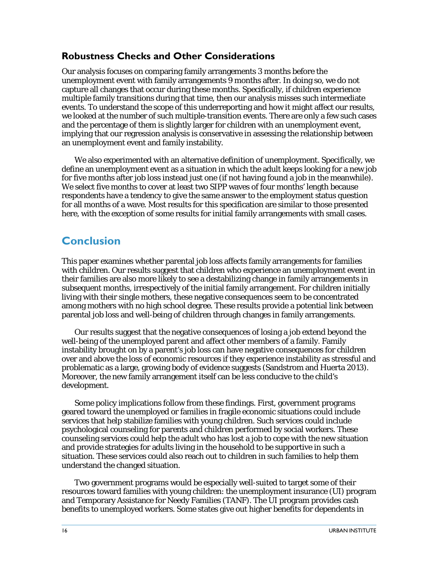### <span id="page-18-0"></span>**Robustness Checks and Other Considerations**

Our analysis focuses on comparing family arrangements 3 months before the unemployment event with family arrangements 9 months after. In doing so, we do not capture all changes that occur during these months. Specifically, if children experience multiple family transitions during that time, then our analysis misses such intermediate events. To understand the scope of this underreporting and how it might affect our results, we looked at the number of such multiple-transition events. There are only a few such cases and the percentage of them is slightly larger for children with an unemployment event, implying that our regression analysis is conservative in assessing the relationship between an unemployment event and family instability.

We also experimented with an alternative definition of unemployment. Specifically, we define an unemployment event as a situation in which the adult keeps looking for a new job for five months after job loss instead just one (if not having found a job in the meanwhile). We select five months to cover at least two SIPP waves of four months' length because respondents have a tendency to give the same answer to the employment status question for all months of a wave. Most results for this specification are similar to those presented here, with the exception of some results for initial family arrangements with small cases.

# <span id="page-18-1"></span>**Conclusion**

This paper examines whether parental job loss affects family arrangements for families with children. Our results suggest that children who experience an unemployment event in their families are also more likely to see a destabilizing change in family arrangements in subsequent months, irrespectively of the initial family arrangement. For children initially living with their single mothers, these negative consequences seem to be concentrated among mothers with no high school degree. These results provide a potential link between parental job loss and well-being of children through changes in family arrangements.

Our results suggest that the negative consequences of losing a job extend beyond the well-being of the unemployed parent and affect other members of a family. Family instability brought on by a parent's job loss can have negative consequences for children over and above the loss of economic resources if they experience instability as stressful and problematic as a large, growing body of evidence suggests (Sandstrom and Huerta 2013). Moreover, the new family arrangement itself can be less conducive to the child's development.

Some policy implications follow from these findings. First, government programs geared toward the unemployed or families in fragile economic situations could include services that help stabilize families with young children. Such services could include psychological counseling for parents and children performed by social workers. These counseling services could help the adult who has lost a job to cope with the new situation and provide strategies for adults living in the household to be supportive in such a situation. These services could also reach out to children in such families to help them understand the changed situation.

Two government programs would be especially well-suited to target some of their resources toward families with young children: the unemployment insurance (UI) program and Temporary Assistance for Needy Families (TANF). The UI program provides cash benefits to unemployed workers. Some states give out higher benefits for dependents in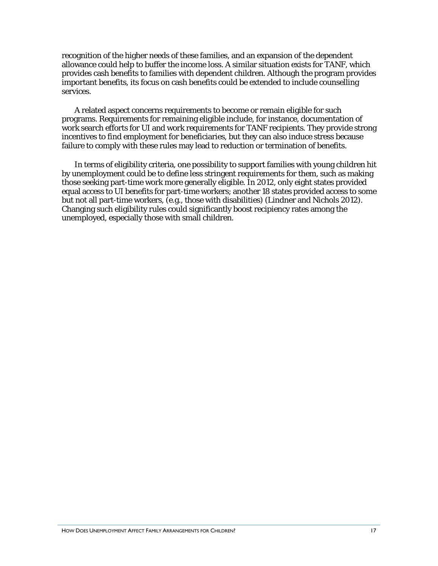recognition of the higher needs of these families, and an expansion of the dependent allowance could help to buffer the income loss. A similar situation exists for TANF, which provides cash benefits to families with dependent children. Although the program provides important benefits, its focus on cash benefits could be extended to include counselling services.

A related aspect concerns requirements to become or remain eligible for such programs. Requirements for remaining eligible include, for instance, documentation of work search efforts for UI and work requirements for TANF recipients. They provide strong incentives to find employment for beneficiaries, but they can also induce stress because failure to comply with these rules may lead to reduction or termination of benefits.

In terms of eligibility criteria, one possibility to support families with young children hit by unemployment could be to define less stringent requirements for them, such as making those seeking part-time work more generally eligible. In 2012, only eight states provided equal access to UI benefits for part-time workers; another 18 states provided access to some but not all part-time workers, (e.g., those with disabilities) (Lindner and Nichols 2012). Changing such eligibility rules could significantly boost recipiency rates among the unemployed, especially those with small children.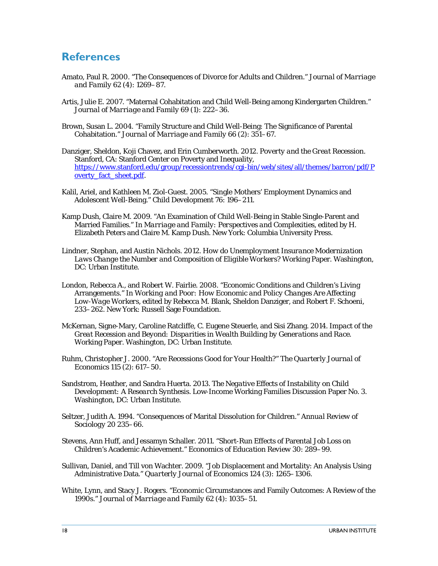## <span id="page-20-0"></span>**References**

- Amato, Paul R. 2000. "The Consequences of Divorce for Adults and Children." *Journal of Marriage and Family* 62 (4): 1269–87.
- Artis, Julie E. 2007. "Maternal Cohabitation and Child Well-Being among Kindergarten Children." *Journal of Marriage and Family* 69 (1): 222–36.
- Brown, Susan L. 2004. "Family Structure and Child Well-Being: The Significance of Parental Cohabitation." *Journal of Marriage and Family* 66 (2): 351–67.
- Danziger, Sheldon, Koji Chavez, and Erin Cumberworth. 2012. *Poverty and the Great Recession.* Stanford, CA: Stanford Center on Poverty and Inequality, [https://www.stanford.edu/group/recessiontrends/cgi-bin/web/sites/all/themes/barron/pdf/P](https://www.stanford.edu/group/recessiontrends/cgi-bin/web/sites/all/themes/barron/pdf/Poverty_fact_sheet.pdf) [overty\\_fact\\_sheet.pdf.](https://www.stanford.edu/group/recessiontrends/cgi-bin/web/sites/all/themes/barron/pdf/Poverty_fact_sheet.pdf)
- Kalil, Ariel, and Kathleen M. Ziol-Guest. 2005. "Single Mothers' Employment Dynamics and Adolescent Well-Being." *Child Development* 76: 196–211.
- Kamp Dush, Claire M. 2009. "An Examination of Child Well-Being in Stable Single-Parent and Married Families." In *Marriage and Family: Perspectives and Complexities,* edited by H. Elizabeth Peters and Claire M. Kamp Dush. New York: Columbia University Press.
- Lindner, Stephan, and Austin Nichols. 2012. *How do Unemployment Insurance Modernization Laws Change the Number and Composition of Eligible Workers?* Working Paper. Washington, DC: Urban Institute.
- London, Rebecca A., and Robert W. Fairlie. 2008. "Economic Conditions and Children's Living Arrangements." In *Working and Poor: How Economic and Policy Changes Are Affecting Low-Wage Workers,* edited by Rebecca M. Blank, Sheldon Danziger, and Robert F. Schoeni, 233–262. New York: Russell Sage Foundation.
- McKernan, Signe-Mary, Caroline Ratcliffe, C. Eugene Steuerle, and Sisi Zhang. 2014. *Impact of the Great Recession and Beyond: Disparities in Wealth Building by Generations and Race.* Working Paper. Washington, DC: Urban Institute.
- Ruhm, Christopher J. 2000. "Are Recessions Good for Your Health?" *The Quarterly Journal of Economics* 115 (2): 617–50.
- Sandstrom, Heather, and Sandra Huerta. 2013. *The Negative Effects of Instability on Child Development: A Research Synthesis.* Low-Income Working Families Discussion Paper No. 3. Washington, DC: Urban Institute.
- Seltzer, Judith A. 1994. "Consequences of Marital Dissolution for Children." *Annual Review of Sociology* 20 235–66.
- Stevens, Ann Huff, and Jessamyn Schaller. 2011. "Short-Run Effects of Parental Job Loss on Children's Academic Achievement." *Economics of Education Review* 30: 289–99.
- Sullivan, Daniel, and Till von Wachter. 2009. "Job Displacement and Mortality: An Analysis Using Administrative Data." *Quarterly Journal of Economics* 124 (3): 1265–1306.
- White, Lynn, and Stacy J. Rogers. "Economic Circumstances and Family Outcomes: A Review of the 1990s." *Journal of Marriage and Family* 62 (4): 1035–51.